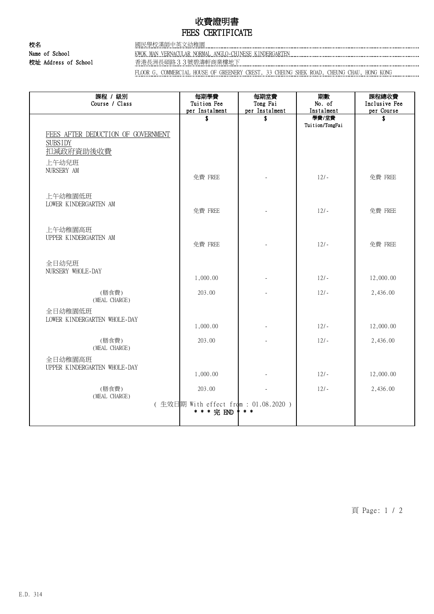## 收費證明書 FEES CERTIFICATE

校名 國民學校漢師中英文幼稚園

Name of School **KWOK MAN VERNACULAR NORMAL ANGLO-CHINESE KINDERGARTEN KINDERGARTEN** <u>校址 Address of School ネットのデジャングのデジャングのデジャングのデジャングのデジャングのデジャングのデジャングのデジャングのデ</u><br>本社の Address of School スペットのコンプロセッサージを使用している。<br>- ウェブのデジャングのデジャングのデジャングのデジャングのデジャングのデジャングのデジャングのデジャングのデジャングのデジャングのデジャングのデジャングのデジャングのデジャングのデジャングのデジ

FLOOR G, COMMERCIAL HOUSE OF GREENERY CREST, 33 CHEUNG SHEK ROAD, CHEUNG CHAU, HONG KONG

| 課程 / 級別<br>Course / Class                                         | 每期學費<br>Tuition Fee<br>per Instalment                          | 每期堂費<br>Tong Fai<br>per Instalment | 期數<br>No. of<br>Instalment | 課程總收費<br>Inclusive Fee<br>per Course |
|-------------------------------------------------------------------|----------------------------------------------------------------|------------------------------------|----------------------------|--------------------------------------|
| FEES AFTER DEDUCTION OF GOVERNMENT<br><b>SUBSIDY</b><br>扣减政府資助後收費 | \$                                                             | \$                                 | 學費/堂費<br>Tuition/TongFai   | \$                                   |
| 上午幼兒班<br>NURSERY AM                                               | 免費 FREE                                                        |                                    | $12/-$                     | 免費 FREE                              |
| 上午幼稚園低班<br>LOWER KINDERGARTEN AM                                  | 免費 FREE                                                        |                                    | $12/-$                     | 免費 FREE                              |
| 上午幼稚園高班<br>UPPER KINDERGARTEN AM                                  | 免費 FREE                                                        |                                    | $12/-$                     | 免費 FREE                              |
| 全日幼兒班<br>NURSERY WHOLE-DAY                                        | 1,000.00                                                       |                                    | $12/-$                     | 12,000.00                            |
| (膳食費)<br>(MEAL CHARGE)                                            | 203.00                                                         |                                    | $12/-$                     | 2,436.00                             |
| 全日幼稚園低班<br>LOWER KINDERGARTEN WHOLE-DAY                           | 1,000.00                                                       |                                    | $12/-$                     | 12,000.00                            |
| (膳食費)<br>(MEAL CHARGE)                                            | 203.00                                                         |                                    | $12/-$                     | 2,436.00                             |
| 全日幼稚園高班<br>UPPER KINDERGARTEN WHOLE-DAY                           | 1,000.00                                                       |                                    | $12/-$                     | 12,000.00                            |
| (膳食費)<br>(MEAL CHARGE)                                            | 203.00<br>(生效日期 With effect from : 01.08.2020 )<br>* * * 完 END | * * *                              | $12/-$                     | 2,436.00                             |

頁 Page: 1 / 2